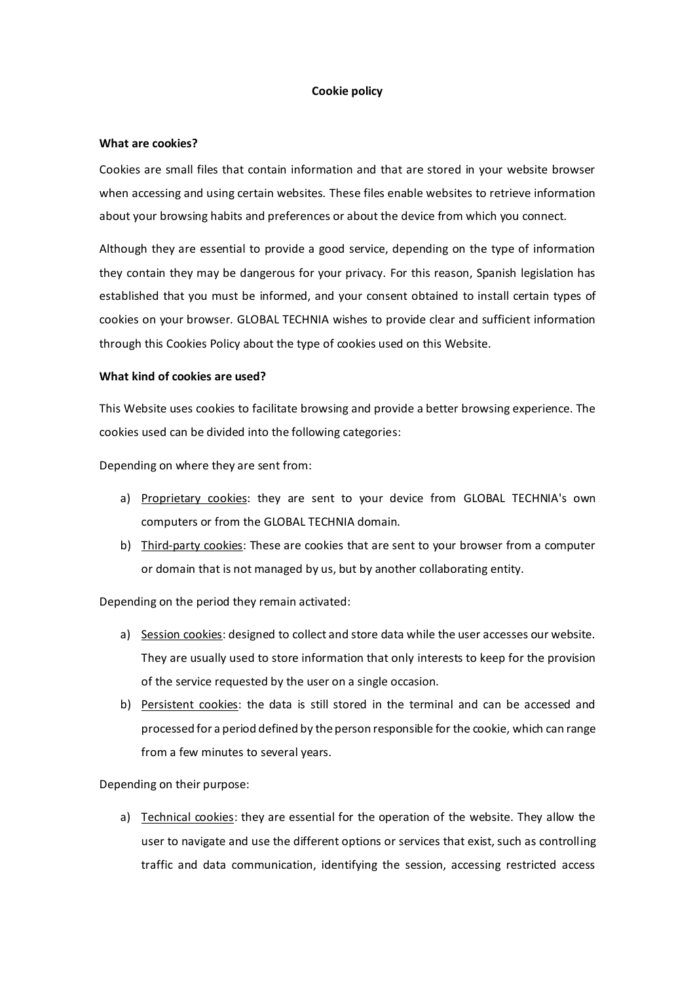#### **Cookie policy**

#### **What are cookies?**

Cookies are small files that contain information and that are stored in your website browser when accessing and using certain websites. These files enable websites to retrieve information about your browsing habits and preferences or about the device from which you connect.

Although they are essential to provide a good service, depending on the type of information they contain they may be dangerous for your privacy. For this reason, Spanish legislation has established that you must be informed, and your consent obtained to install certain types of cookies on your browser. GLOBAL TECHNIA wishes to provide clear and sufficient information through this Cookies Policy about the type of cookies used on this Website.

#### **What kind of cookies are used?**

This Website uses cookies to facilitate browsing and provide a better browsing experience. The cookies used can be divided into the following categories:

Depending on where they are sent from:

- a) Proprietary cookies: they are sent to your device from GLOBAL TECHNIA's own computers or from the GLOBAL TECHNIA domain.
- b) Third-party cookies: These are cookies that are sent to your browser from a computer or domain that is not managed by us, but by another collaborating entity.

Depending on the period they remain activated:

- a) Session cookies: designed to collect and store data while the user accesses our website. They are usually used to store information that only interests to keep for the provision of the service requested by the user on a single occasion.
- b) Persistent cookies: the data is still stored in the terminal and can be accessed and processed for a period defined by the person responsible for the cookie, which can range from a few minutes to several years.

Depending on their purpose:

a) Technical cookies: they are essential for the operation of the website. They allow the user to navigate and use the different options or services that exist, such as controlling traffic and data communication, identifying the session, accessing restricted access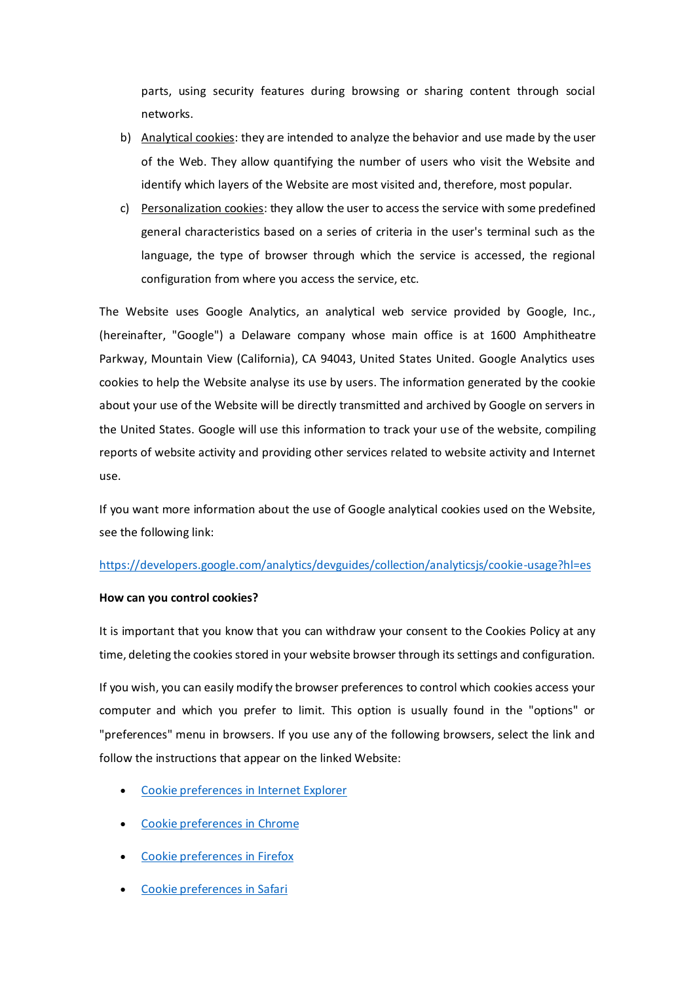parts, using security features during browsing or sharing content through social networks.

- b) Analytical cookies: they are intended to analyze the behavior and use made by the user of the Web. They allow quantifying the number of users who visit the Website and identify which layers of the Website are most visited and, therefore, most popular.
- c) Personalization cookies: they allow the user to access the service with some predefined general characteristics based on a series of criteria in the user's terminal such as the language, the type of browser through which the service is accessed, the regional configuration from where you access the service, etc.

The Website uses Google Analytics, an analytical web service provided by Google, Inc., (hereinafter, "Google") a Delaware company whose main office is at 1600 Amphitheatre Parkway, Mountain View (California), CA 94043, United States United. Google Analytics uses cookies to help the Website analyse its use by users. The information generated by the cookie about your use of the Website will be directly transmitted and archived by Google on servers in the United States. Google will use this information to track your use of the website, compiling reports of website activity and providing other services related to website activity and Internet use.

If you want more information about the use of Google analytical cookies used on the Website, see the following link:

## <https://developers.google.com/analytics/devguides/collection/analyticsjs/cookie-usage?hl=es>

## **How can you control cookies?**

It is important that you know that you can withdraw your consent to the Cookies Policy at any time, deleting the cookies stored in your website browser through its settings and configuration.

If you wish, you can easily modify the browser preferences to control which cookies access your computer and which you prefer to limit. This option is usually found in the "options" or "preferences" menu in browsers. If you use any of the following browsers, select the link and follow the instructions that appear on the linked Website:

- [Cookie preferences in Internet Explorer](https://support.microsoft.com/en-gb/help/17442/windows-internet-explorer-delete-manage-cookies)
- [Cookie preferences in Chrome](https://support.google.com/chrome/answer/95647?co=GENIE.Platform%3DDesktop&hl=en)
- [Cookie preferences in Firefox](https://support.mozilla.org/en-US/kb/delete-cookies-remove-info-websites-stored)
- [Cookie preferences in Safari](https://support.apple.com/en-gb/HT201265)